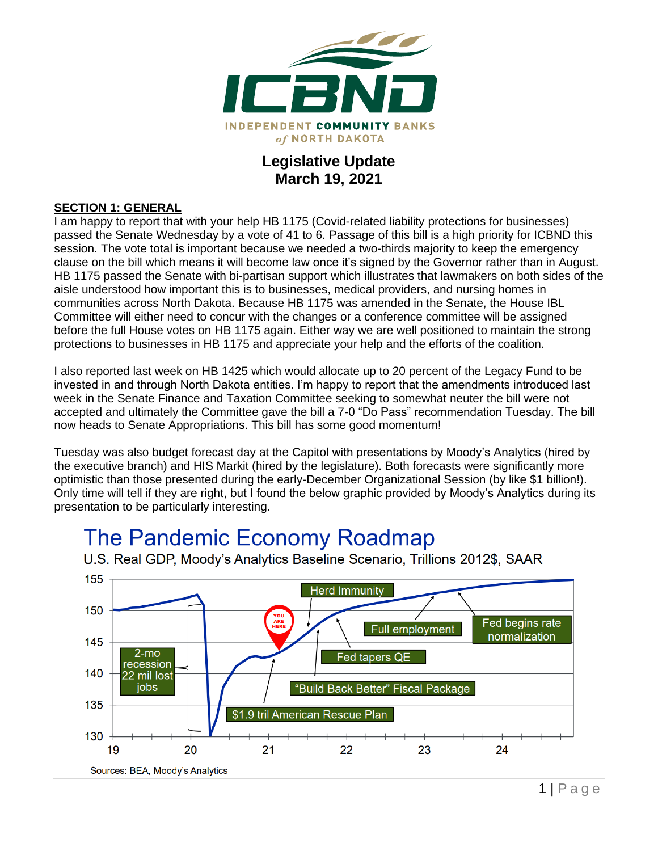

### **Legislative Update March 19, 2021**

#### **SECTION 1: GENERAL**

I am happy to report that with your help HB 1175 (Covid-related liability protections for businesses) passed the Senate Wednesday by a vote of 41 to 6. Passage of this bill is a high priority for ICBND this session. The vote total is important because we needed a two-thirds majority to keep the emergency clause on the bill which means it will become law once it's signed by the Governor rather than in August. HB 1175 passed the Senate with bi-partisan support which illustrates that lawmakers on both sides of the aisle understood how important this is to businesses, medical providers, and nursing homes in communities across North Dakota. Because HB 1175 was amended in the Senate, the House IBL Committee will either need to concur with the changes or a conference committee will be assigned before the full House votes on HB 1175 again. Either way we are well positioned to maintain the strong protections to businesses in HB 1175 and appreciate your help and the efforts of the coalition.

I also reported last week on HB 1425 which would allocate up to 20 percent of the Legacy Fund to be invested in and through North Dakota entities. I'm happy to report that the amendments introduced last week in the Senate Finance and Taxation Committee seeking to somewhat neuter the bill were not accepted and ultimately the Committee gave the bill a 7-0 "Do Pass" recommendation Tuesday. The bill now heads to Senate Appropriations. This bill has some good momentum!

Tuesday was also budget forecast day at the Capitol with presentations by Moody's Analytics (hired by the executive branch) and HIS Markit (hired by the legislature). Both forecasts were significantly more optimistic than those presented during the early-December Organizational Session (by like \$1 billion!). Only time will tell if they are right, but I found the below graphic provided by Moody's Analytics during its presentation to be particularly interesting.

# The Pandemic Economy Roadmap



U.S. Real GDP, Moody's Analytics Baseline Scenario, Trillions 2012\$, SAAR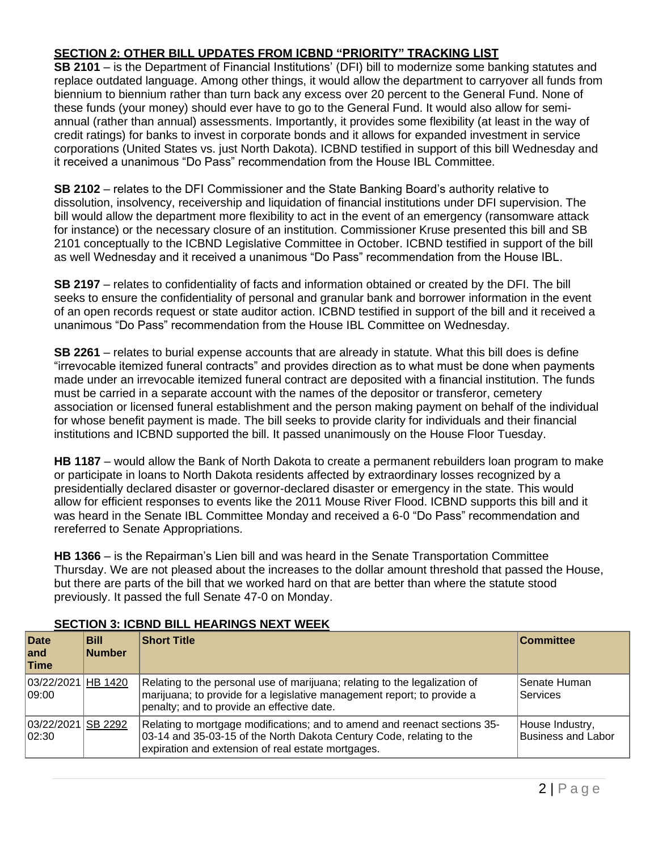#### **SECTION 2: OTHER BILL UPDATES FROM ICBND "PRIORITY" TRACKING LIST**

**SB 2101** – is the Department of Financial Institutions' (DFI) bill to modernize some banking statutes and replace outdated language. Among other things, it would allow the department to carryover all funds from biennium to biennium rather than turn back any excess over 20 percent to the General Fund. None of these funds (your money) should ever have to go to the General Fund. It would also allow for semiannual (rather than annual) assessments. Importantly, it provides some flexibility (at least in the way of credit ratings) for banks to invest in corporate bonds and it allows for expanded investment in service corporations (United States vs. just North Dakota). ICBND testified in support of this bill Wednesday and it received a unanimous "Do Pass" recommendation from the House IBL Committee.

**SB 2102** – relates to the DFI Commissioner and the State Banking Board's authority relative to dissolution, insolvency, receivership and liquidation of financial institutions under DFI supervision. The bill would allow the department more flexibility to act in the event of an emergency (ransomware attack for instance) or the necessary closure of an institution. Commissioner Kruse presented this bill and SB 2101 conceptually to the ICBND Legislative Committee in October. ICBND testified in support of the bill as well Wednesday and it received a unanimous "Do Pass" recommendation from the House IBL.

**SB 2197** – relates to confidentiality of facts and information obtained or created by the DFI. The bill seeks to ensure the confidentiality of personal and granular bank and borrower information in the event of an open records request or state auditor action. ICBND testified in support of the bill and it received a unanimous "Do Pass" recommendation from the House IBL Committee on Wednesday.

**SB 2261** – relates to burial expense accounts that are already in statute. What this bill does is define "irrevocable itemized funeral contracts" and provides direction as to what must be done when payments made under an irrevocable itemized funeral contract are deposited with a financial institution. The funds must be carried in a separate account with the names of the depositor or transferor, cemetery association or licensed funeral establishment and the person making payment on behalf of the individual for whose benefit payment is made. The bill seeks to provide clarity for individuals and their financial institutions and ICBND supported the bill. It passed unanimously on the House Floor Tuesday.

**HB 1187** – would allow the Bank of North Dakota to create a permanent rebuilders loan program to make or participate in loans to North Dakota residents affected by extraordinary losses recognized by a presidentially declared disaster or governor-declared disaster or emergency in the state. This would allow for efficient responses to events like the 2011 Mouse River Flood. ICBND supports this bill and it was heard in the Senate IBL Committee Monday and received a 6-0 "Do Pass" recommendation and rereferred to Senate Appropriations.

**HB 1366** – is the Repairman's Lien bill and was heard in the Senate Transportation Committee Thursday. We are not pleased about the increases to the dollar amount threshold that passed the House, but there are parts of the bill that we worked hard on that are better than where the statute stood previously. It passed the full Senate 47-0 on Monday.

| <b>Date</b><br>land<br>Time  | <b>Bill</b><br><b>Number</b> | <b>Short Title</b>                                                                                                                                                                                      | <b>Committee</b>                             |
|------------------------------|------------------------------|---------------------------------------------------------------------------------------------------------------------------------------------------------------------------------------------------------|----------------------------------------------|
| 03/22/2021 HB 1420<br>109:00 |                              | Relating to the personal use of marijuana; relating to the legalization of<br>marijuana; to provide for a legislative management report; to provide a<br>penalty; and to provide an effective date.     | Senate Human<br>Services                     |
| 03/22/2021 SB 2292<br> 02:30 |                              | Relating to mortgage modifications; and to amend and reenact sections 35-<br>03-14 and 35-03-15 of the North Dakota Century Code, relating to the<br>expiration and extension of real estate mortgages. | House Industry,<br><b>Business and Labor</b> |

#### **SECTION 3: ICBND BILL HEARINGS NEXT WEEK**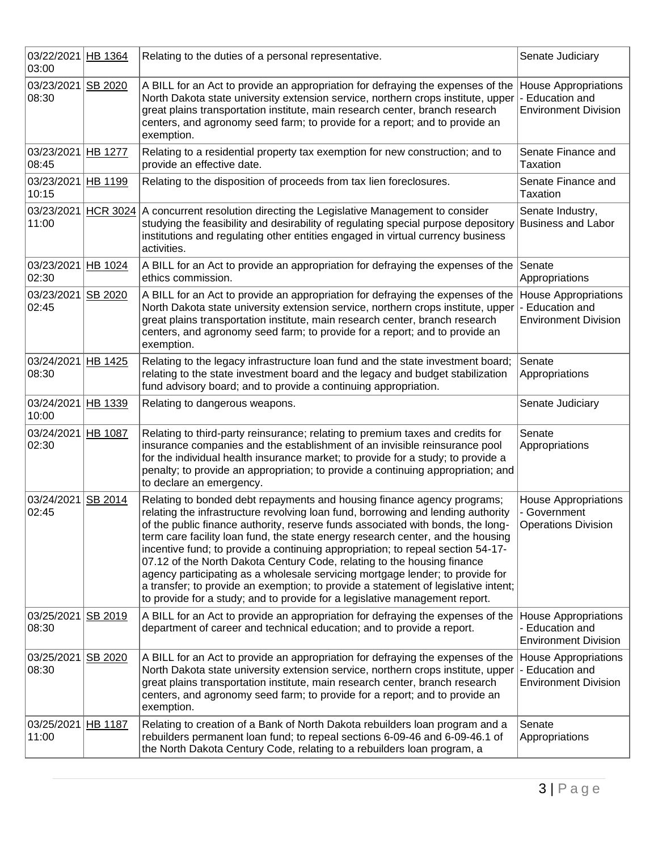| 03/22/2021<br>03:00         | HB 1364         | Relating to the duties of a personal representative.                                                                                                                                                                                                                                                                                                                                                                                                                                                                                                                                                                                                                                                                                                  | Senate Judiciary                                                              |
|-----------------------------|-----------------|-------------------------------------------------------------------------------------------------------------------------------------------------------------------------------------------------------------------------------------------------------------------------------------------------------------------------------------------------------------------------------------------------------------------------------------------------------------------------------------------------------------------------------------------------------------------------------------------------------------------------------------------------------------------------------------------------------------------------------------------------------|-------------------------------------------------------------------------------|
| 03/23/2021<br>08:30         | SB 2020         | A BILL for an Act to provide an appropriation for defraying the expenses of the<br>North Dakota state university extension service, northern crops institute, upper<br>great plains transportation institute, main research center, branch research<br>centers, and agronomy seed farm; to provide for a report; and to provide an<br>exemption.                                                                                                                                                                                                                                                                                                                                                                                                      | <b>House Appropriations</b><br>- Education and<br><b>Environment Division</b> |
| 03/23/2021<br>08:45         | <b>HB 1277</b>  | Relating to a residential property tax exemption for new construction; and to<br>provide an effective date.                                                                                                                                                                                                                                                                                                                                                                                                                                                                                                                                                                                                                                           | Senate Finance and<br>Taxation                                                |
| 03/23/2021<br>10:15         | HB 1199         | Relating to the disposition of proceeds from tax lien foreclosures.                                                                                                                                                                                                                                                                                                                                                                                                                                                                                                                                                                                                                                                                                   | Senate Finance and<br><b>Taxation</b>                                         |
| 03/23/2021<br>11:00         | <b>HCR 3024</b> | A concurrent resolution directing the Legislative Management to consider<br>studying the feasibility and desirability of regulating special purpose depository<br>institutions and regulating other entities engaged in virtual currency business<br>activities.                                                                                                                                                                                                                                                                                                                                                                                                                                                                                      | Senate Industry,<br><b>Business and Labor</b>                                 |
| 03/23/2021<br>02:30         | HB 1024         | A BILL for an Act to provide an appropriation for defraying the expenses of the<br>ethics commission.                                                                                                                                                                                                                                                                                                                                                                                                                                                                                                                                                                                                                                                 | Senate<br>Appropriations                                                      |
| 03/23/2021<br>02:45         | SB 2020         | A BILL for an Act to provide an appropriation for defraying the expenses of the<br>North Dakota state university extension service, northern crops institute, upper<br>great plains transportation institute, main research center, branch research<br>centers, and agronomy seed farm; to provide for a report; and to provide an<br>exemption.                                                                                                                                                                                                                                                                                                                                                                                                      | <b>House Appropriations</b><br>- Education and<br><b>Environment Division</b> |
| 03/24/2021<br>08:30         | HB 1425         | Relating to the legacy infrastructure loan fund and the state investment board;<br>relating to the state investment board and the legacy and budget stabilization<br>fund advisory board; and to provide a continuing appropriation.                                                                                                                                                                                                                                                                                                                                                                                                                                                                                                                  | Senate<br>Appropriations                                                      |
| 03/24/2021<br>10:00         | HB 1339         | Relating to dangerous weapons.                                                                                                                                                                                                                                                                                                                                                                                                                                                                                                                                                                                                                                                                                                                        | Senate Judiciary                                                              |
| 03/24/2021<br>02:30         | HB 1087         | Relating to third-party reinsurance; relating to premium taxes and credits for<br>insurance companies and the establishment of an invisible reinsurance pool<br>for the individual health insurance market; to provide for a study; to provide a<br>penalty; to provide an appropriation; to provide a continuing appropriation; and<br>to declare an emergency.                                                                                                                                                                                                                                                                                                                                                                                      | Senate<br>Appropriations                                                      |
| 03/24/2021 SB 2014<br>02:45 |                 | Relating to bonded debt repayments and housing finance agency programs;<br>relating the infrastructure revolving loan fund, borrowing and lending authority<br>of the public finance authority, reserve funds associated with bonds, the long-<br>term care facility loan fund, the state energy research center, and the housing<br>incentive fund; to provide a continuing appropriation; to repeal section 54-17-<br>07.12 of the North Dakota Century Code, relating to the housing finance<br>agency participating as a wholesale servicing mortgage lender; to provide for<br>a transfer; to provide an exemption; to provide a statement of legislative intent;<br>to provide for a study; and to provide for a legislative management report. | <b>House Appropriations</b><br>- Government<br><b>Operations Division</b>     |
| 03/25/2021<br>08:30         | <b>SB 2019</b>  | A BILL for an Act to provide an appropriation for defraying the expenses of the<br>department of career and technical education; and to provide a report.                                                                                                                                                                                                                                                                                                                                                                                                                                                                                                                                                                                             | <b>House Appropriations</b><br>- Education and<br><b>Environment Division</b> |
| 03/25/2021<br>08:30         | SB 2020         | A BILL for an Act to provide an appropriation for defraying the expenses of the<br>North Dakota state university extension service, northern crops institute, upper<br>great plains transportation institute, main research center, branch research<br>centers, and agronomy seed farm; to provide for a report; and to provide an<br>exemption.                                                                                                                                                                                                                                                                                                                                                                                                      | <b>House Appropriations</b><br>- Education and<br><b>Environment Division</b> |
| 03/25/2021<br>11:00         | <b>HB 1187</b>  | Relating to creation of a Bank of North Dakota rebuilders loan program and a<br>rebuilders permanent loan fund; to repeal sections 6-09-46 and 6-09-46.1 of<br>the North Dakota Century Code, relating to a rebuilders loan program, a                                                                                                                                                                                                                                                                                                                                                                                                                                                                                                                | Senate<br>Appropriations                                                      |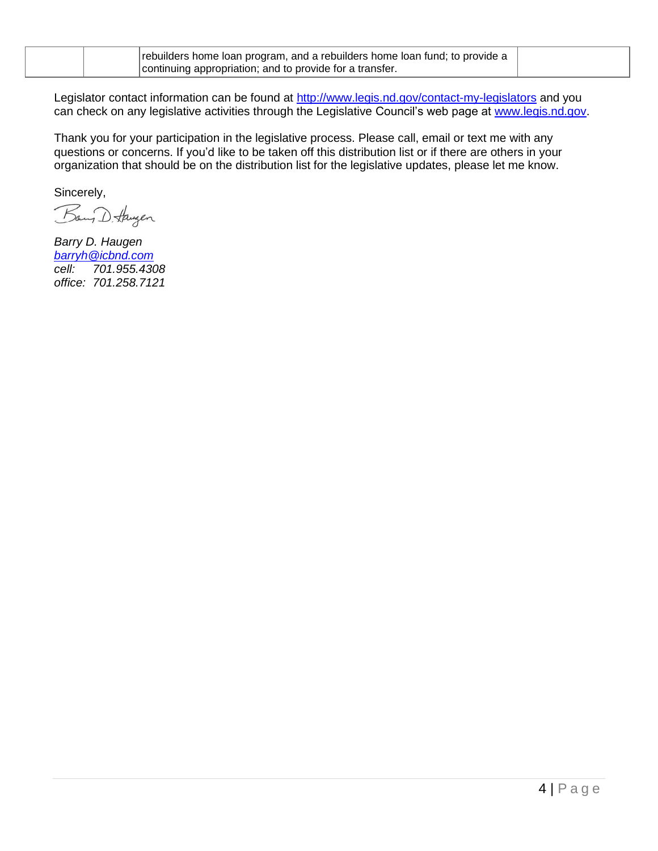| rebuilders home loan program, and a rebuilders home loan fund; to provide a |  |
|-----------------------------------------------------------------------------|--|
| continuing appropriation; and to provide for a transfer.                    |  |

Legislator contact information can be found at<http://www.legis.nd.gov/contact-my-legislators> and you can check on any legislative activities through the Legislative Council's web page at [www.legis.nd.gov.](http://www.legis.nd.gov/)

Thank you for your participation in the legislative process. Please call, email or text me with any questions or concerns. If you'd like to be taken off this distribution list or if there are others in your organization that should be on the distribution list for the legislative updates, please let me know.

Sincerely,

Bany D. Haugen

*Barry D. Haugen [barryh@icbnd.com](mailto:barryh@icbnd.com) cell: 701.955.4308 office: 701.258.7121*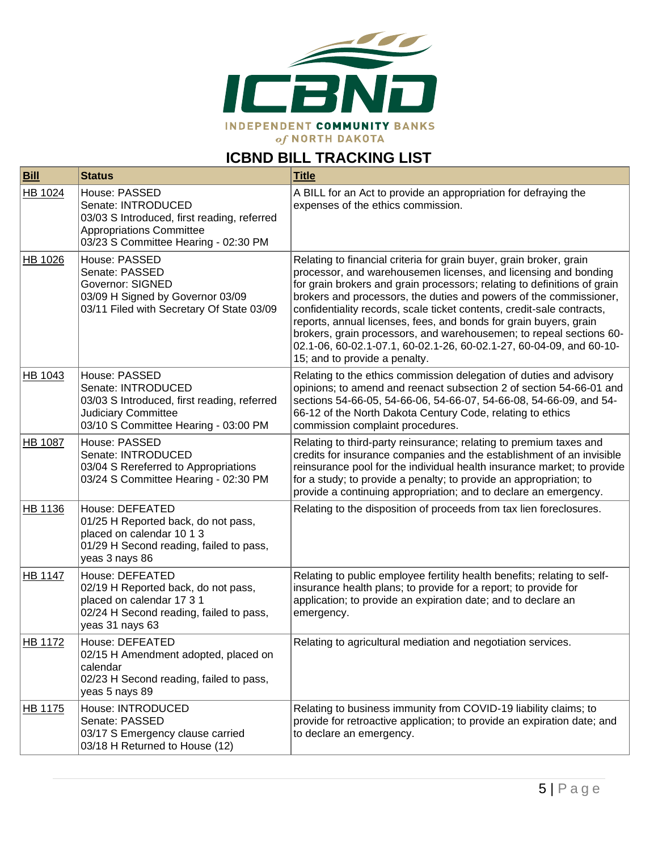

## **ICBND BILL TRACKING LIST**

| <b>Bill</b>    | <b>Status</b>                                                                                                                                                 | <b>Title</b>                                                                                                                                                                                                                                                                                                                                                                                                                                                                                                                                                                                                           |
|----------------|---------------------------------------------------------------------------------------------------------------------------------------------------------------|------------------------------------------------------------------------------------------------------------------------------------------------------------------------------------------------------------------------------------------------------------------------------------------------------------------------------------------------------------------------------------------------------------------------------------------------------------------------------------------------------------------------------------------------------------------------------------------------------------------------|
| HB 1024        | House: PASSED<br>Senate: INTRODUCED<br>03/03 S Introduced, first reading, referred<br><b>Appropriations Committee</b><br>03/23 S Committee Hearing - 02:30 PM | A BILL for an Act to provide an appropriation for defraying the<br>expenses of the ethics commission.                                                                                                                                                                                                                                                                                                                                                                                                                                                                                                                  |
| HB 1026        | House: PASSED<br>Senate: PASSED<br><b>Governor: SIGNED</b><br>03/09 H Signed by Governor 03/09<br>03/11 Filed with Secretary Of State 03/09                   | Relating to financial criteria for grain buyer, grain broker, grain<br>processor, and warehousemen licenses, and licensing and bonding<br>for grain brokers and grain processors; relating to definitions of grain<br>brokers and processors, the duties and powers of the commissioner,<br>confidentiality records, scale ticket contents, credit-sale contracts,<br>reports, annual licenses, fees, and bonds for grain buyers, grain<br>brokers, grain processors, and warehousemen; to repeal sections 60-<br>02.1-06, 60-02.1-07.1, 60-02.1-26, 60-02.1-27, 60-04-09, and 60-10-<br>15; and to provide a penalty. |
| HB 1043        | House: PASSED<br>Senate: INTRODUCED<br>03/03 S Introduced, first reading, referred<br><b>Judiciary Committee</b><br>03/10 S Committee Hearing - 03:00 PM      | Relating to the ethics commission delegation of duties and advisory<br>opinions; to amend and reenact subsection 2 of section 54-66-01 and<br>sections 54-66-05, 54-66-06, 54-66-07, 54-66-08, 54-66-09, and 54-<br>66-12 of the North Dakota Century Code, relating to ethics<br>commission complaint procedures.                                                                                                                                                                                                                                                                                                     |
| <b>HB 1087</b> | House: PASSED<br>Senate: INTRODUCED<br>03/04 S Rereferred to Appropriations<br>03/24 S Committee Hearing - 02:30 PM                                           | Relating to third-party reinsurance; relating to premium taxes and<br>credits for insurance companies and the establishment of an invisible<br>reinsurance pool for the individual health insurance market; to provide<br>for a study; to provide a penalty; to provide an appropriation; to<br>provide a continuing appropriation; and to declare an emergency.                                                                                                                                                                                                                                                       |
| HB 1136        | House: DEFEATED<br>01/25 H Reported back, do not pass,<br>placed on calendar 10 1 3<br>01/29 H Second reading, failed to pass,<br>yeas 3 nays 86              | Relating to the disposition of proceeds from tax lien foreclosures.                                                                                                                                                                                                                                                                                                                                                                                                                                                                                                                                                    |
| <b>HB 1147</b> | House: DEFEATED<br>02/19 H Reported back, do not pass,<br>placed on calendar 17 3 1<br>02/24 H Second reading, failed to pass,<br>yeas 31 nays 63             | Relating to public employee fertility health benefits; relating to self-<br>insurance health plans; to provide for a report; to provide for<br>application; to provide an expiration date; and to declare an<br>emergency.                                                                                                                                                                                                                                                                                                                                                                                             |
| <b>HB 1172</b> | House: DEFEATED<br>02/15 H Amendment adopted, placed on<br>calendar<br>02/23 H Second reading, failed to pass,<br>yeas 5 nays 89                              | Relating to agricultural mediation and negotiation services.                                                                                                                                                                                                                                                                                                                                                                                                                                                                                                                                                           |
| HB 1175        | House: INTRODUCED<br>Senate: PASSED<br>03/17 S Emergency clause carried<br>03/18 H Returned to House (12)                                                     | Relating to business immunity from COVID-19 liability claims; to<br>provide for retroactive application; to provide an expiration date; and<br>to declare an emergency.                                                                                                                                                                                                                                                                                                                                                                                                                                                |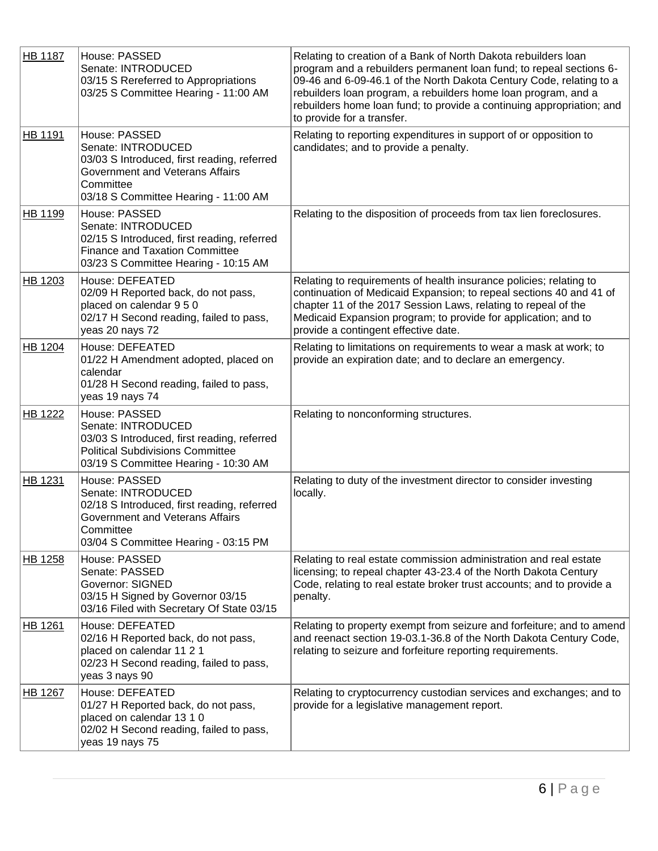| <b>HB 1187</b> | House: PASSED<br>Senate: INTRODUCED<br>03/15 S Rereferred to Appropriations<br>03/25 S Committee Hearing - 11:00 AM                                                        | Relating to creation of a Bank of North Dakota rebuilders loan<br>program and a rebuilders permanent loan fund; to repeal sections 6-<br>09-46 and 6-09-46.1 of the North Dakota Century Code, relating to a<br>rebuilders loan program, a rebuilders home loan program, and a<br>rebuilders home loan fund; to provide a continuing appropriation; and<br>to provide for a transfer. |
|----------------|----------------------------------------------------------------------------------------------------------------------------------------------------------------------------|---------------------------------------------------------------------------------------------------------------------------------------------------------------------------------------------------------------------------------------------------------------------------------------------------------------------------------------------------------------------------------------|
| HB 1191        | House: PASSED<br>Senate: INTRODUCED<br>03/03 S Introduced, first reading, referred<br>Government and Veterans Affairs<br>Committee<br>03/18 S Committee Hearing - 11:00 AM | Relating to reporting expenditures in support of or opposition to<br>candidates; and to provide a penalty.                                                                                                                                                                                                                                                                            |
| HB 1199        | House: PASSED<br>Senate: INTRODUCED<br>02/15 S Introduced, first reading, referred<br><b>Finance and Taxation Committee</b><br>03/23 S Committee Hearing - 10:15 AM        | Relating to the disposition of proceeds from tax lien foreclosures.                                                                                                                                                                                                                                                                                                                   |
| HB 1203        | House: DEFEATED<br>02/09 H Reported back, do not pass,<br>placed on calendar 9 5 0<br>02/17 H Second reading, failed to pass,<br>yeas 20 nays 72                           | Relating to requirements of health insurance policies; relating to<br>continuation of Medicaid Expansion; to repeal sections 40 and 41 of<br>chapter 11 of the 2017 Session Laws, relating to repeal of the<br>Medicaid Expansion program; to provide for application; and to<br>provide a contingent effective date.                                                                 |
| <b>HB 1204</b> | House: DEFEATED<br>01/22 H Amendment adopted, placed on<br>calendar<br>01/28 H Second reading, failed to pass,<br>yeas 19 nays 74                                          | Relating to limitations on requirements to wear a mask at work; to<br>provide an expiration date; and to declare an emergency.                                                                                                                                                                                                                                                        |
| <b>HB 1222</b> | House: PASSED<br>Senate: INTRODUCED<br>03/03 S Introduced, first reading, referred<br><b>Political Subdivisions Committee</b><br>03/19 S Committee Hearing - 10:30 AM      | Relating to nonconforming structures.                                                                                                                                                                                                                                                                                                                                                 |
| HB 1231        | House: PASSED<br>Senate: INTRODUCED<br>02/18 S Introduced, first reading, referred<br>Government and Veterans Affairs<br>Committee<br>03/04 S Committee Hearing - 03:15 PM | Relating to duty of the investment director to consider investing<br>locally.                                                                                                                                                                                                                                                                                                         |
| HB 1258        | House: PASSED<br>Senate: PASSED<br><b>Governor: SIGNED</b><br>03/15 H Signed by Governor 03/15<br>03/16 Filed with Secretary Of State 03/15                                | Relating to real estate commission administration and real estate<br>licensing; to repeal chapter 43-23.4 of the North Dakota Century<br>Code, relating to real estate broker trust accounts; and to provide a<br>penalty.                                                                                                                                                            |
| HB 1261        | House: DEFEATED<br>02/16 H Reported back, do not pass,<br>placed on calendar 11 2 1<br>02/23 H Second reading, failed to pass,<br>yeas 3 nays 90                           | Relating to property exempt from seizure and forfeiture; and to amend<br>and reenact section 19-03.1-36.8 of the North Dakota Century Code,<br>relating to seizure and forfeiture reporting requirements.                                                                                                                                                                             |
| HB 1267        | House: DEFEATED<br>01/27 H Reported back, do not pass,<br>placed on calendar 13 1 0<br>02/02 H Second reading, failed to pass,<br>yeas 19 nays 75                          | Relating to cryptocurrency custodian services and exchanges; and to<br>provide for a legislative management report.                                                                                                                                                                                                                                                                   |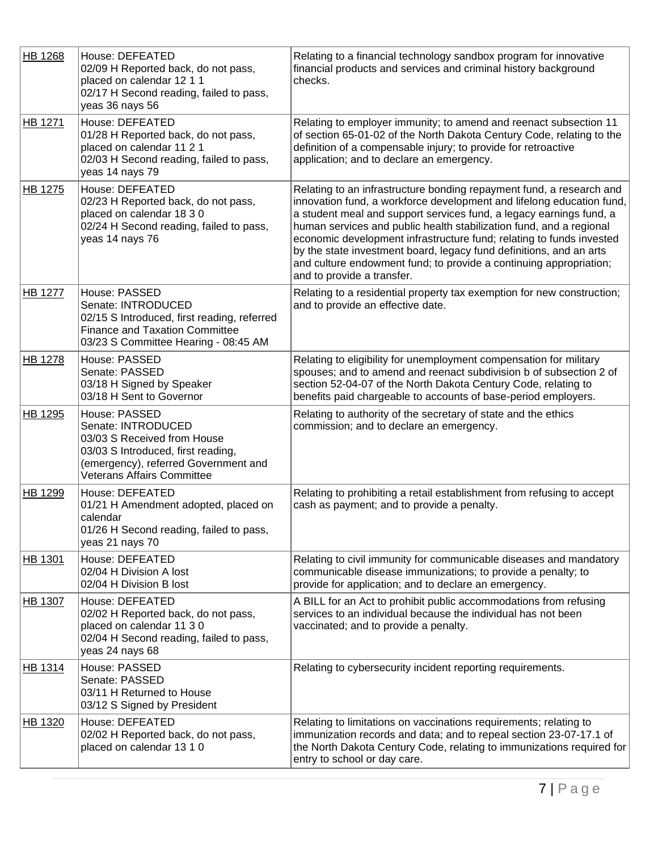| HB 1268        | House: DEFEATED<br>02/09 H Reported back, do not pass,<br>placed on calendar 12 1 1<br>02/17 H Second reading, failed to pass,<br>yeas 36 nays 56                                     | Relating to a financial technology sandbox program for innovative<br>financial products and services and criminal history background<br>checks.                                                                                                                                                                                                                                                                                                                                                                                                |
|----------------|---------------------------------------------------------------------------------------------------------------------------------------------------------------------------------------|------------------------------------------------------------------------------------------------------------------------------------------------------------------------------------------------------------------------------------------------------------------------------------------------------------------------------------------------------------------------------------------------------------------------------------------------------------------------------------------------------------------------------------------------|
| HB 1271        | House: DEFEATED<br>01/28 H Reported back, do not pass,<br>placed on calendar 11 2 1<br>02/03 H Second reading, failed to pass,<br>yeas 14 nays 79                                     | Relating to employer immunity; to amend and reenact subsection 11<br>of section 65-01-02 of the North Dakota Century Code, relating to the<br>definition of a compensable injury; to provide for retroactive<br>application; and to declare an emergency.                                                                                                                                                                                                                                                                                      |
| HB 1275        | House: DEFEATED<br>02/23 H Reported back, do not pass,<br>placed on calendar 18 3 0<br>02/24 H Second reading, failed to pass,<br>yeas 14 nays 76                                     | Relating to an infrastructure bonding repayment fund, a research and<br>innovation fund, a workforce development and lifelong education fund,<br>a student meal and support services fund, a legacy earnings fund, a<br>human services and public health stabilization fund, and a regional<br>economic development infrastructure fund; relating to funds invested<br>by the state investment board, legacy fund definitions, and an arts<br>and culture endowment fund; to provide a continuing appropriation;<br>and to provide a transfer. |
| <b>HB 1277</b> | House: PASSED<br>Senate: INTRODUCED<br>02/15 S Introduced, first reading, referred<br><b>Finance and Taxation Committee</b><br>03/23 S Committee Hearing - 08:45 AM                   | Relating to a residential property tax exemption for new construction;<br>and to provide an effective date.                                                                                                                                                                                                                                                                                                                                                                                                                                    |
| <b>HB 1278</b> | House: PASSED<br>Senate: PASSED<br>03/18 H Signed by Speaker<br>03/18 H Sent to Governor                                                                                              | Relating to eligibility for unemployment compensation for military<br>spouses; and to amend and reenact subdivision b of subsection 2 of<br>section 52-04-07 of the North Dakota Century Code, relating to<br>benefits paid chargeable to accounts of base-period employers.                                                                                                                                                                                                                                                                   |
| <b>HB 1295</b> | House: PASSED<br>Senate: INTRODUCED<br>03/03 S Received from House<br>03/03 S Introduced, first reading,<br>(emergency), referred Government and<br><b>Veterans Affairs Committee</b> | Relating to authority of the secretary of state and the ethics<br>commission; and to declare an emergency.                                                                                                                                                                                                                                                                                                                                                                                                                                     |
| HB 1299        | House: DEFEATED<br>01/21 H Amendment adopted, placed on<br>calendar<br>01/26 H Second reading, failed to pass,<br>yeas 21 nays 70                                                     | Relating to prohibiting a retail establishment from refusing to accept<br>cash as payment; and to provide a penalty.                                                                                                                                                                                                                                                                                                                                                                                                                           |
| HB 1301        | House: DEFEATED<br>02/04 H Division A lost<br>02/04 H Division B lost                                                                                                                 | Relating to civil immunity for communicable diseases and mandatory<br>communicable disease immunizations; to provide a penalty; to<br>provide for application; and to declare an emergency.                                                                                                                                                                                                                                                                                                                                                    |
| <b>HB 1307</b> | House: DEFEATED<br>02/02 H Reported back, do not pass,<br>placed on calendar 11 3 0<br>02/04 H Second reading, failed to pass,<br>yeas 24 nays 68                                     | A BILL for an Act to prohibit public accommodations from refusing<br>services to an individual because the individual has not been<br>vaccinated; and to provide a penalty.                                                                                                                                                                                                                                                                                                                                                                    |
| HB 1314        | House: PASSED<br>Senate: PASSED<br>03/11 H Returned to House<br>03/12 S Signed by President                                                                                           | Relating to cybersecurity incident reporting requirements.                                                                                                                                                                                                                                                                                                                                                                                                                                                                                     |
| HB 1320        | House: DEFEATED<br>02/02 H Reported back, do not pass,<br>placed on calendar 13 1 0                                                                                                   | Relating to limitations on vaccinations requirements; relating to<br>immunization records and data; and to repeal section 23-07-17.1 of<br>the North Dakota Century Code, relating to immunizations required for<br>entry to school or day care.                                                                                                                                                                                                                                                                                               |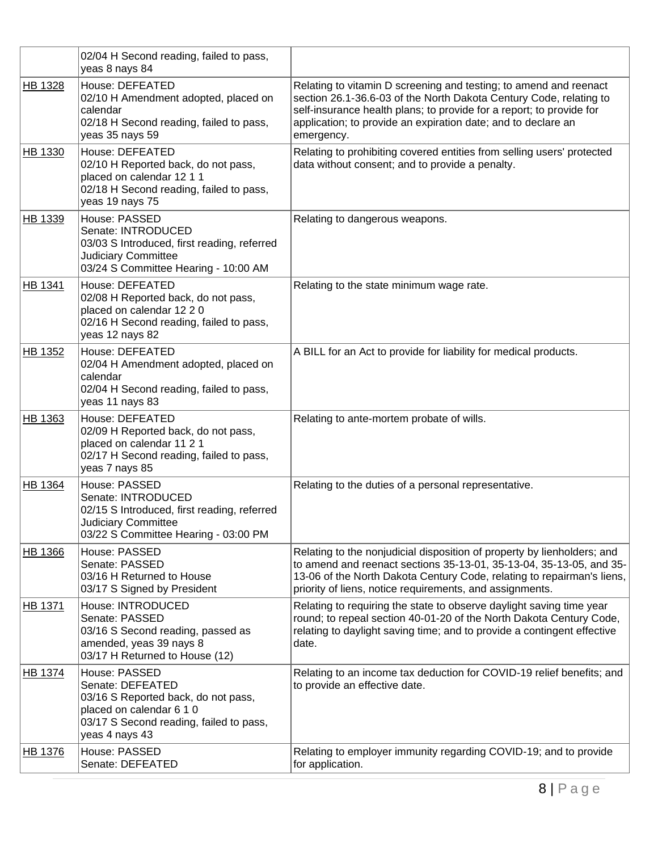|                | 02/04 H Second reading, failed to pass,<br>yeas 8 nays 84                                                                                                         |                                                                                                                                                                                                                                                                                                |
|----------------|-------------------------------------------------------------------------------------------------------------------------------------------------------------------|------------------------------------------------------------------------------------------------------------------------------------------------------------------------------------------------------------------------------------------------------------------------------------------------|
| HB 1328        | House: DEFEATED<br>02/10 H Amendment adopted, placed on<br>calendar<br>02/18 H Second reading, failed to pass,<br>yeas 35 nays 59                                 | Relating to vitamin D screening and testing; to amend and reenact<br>section 26.1-36.6-03 of the North Dakota Century Code, relating to<br>self-insurance health plans; to provide for a report; to provide for<br>application; to provide an expiration date; and to declare an<br>emergency. |
| HB 1330        | House: DEFEATED<br>02/10 H Reported back, do not pass,<br>placed on calendar 12 1 1<br>02/18 H Second reading, failed to pass,<br>yeas 19 nays 75                 | Relating to prohibiting covered entities from selling users' protected<br>data without consent; and to provide a penalty.                                                                                                                                                                      |
| HB 1339        | House: PASSED<br>Senate: INTRODUCED<br>03/03 S Introduced, first reading, referred<br>Judiciary Committee<br>03/24 S Committee Hearing - 10:00 AM                 | Relating to dangerous weapons.                                                                                                                                                                                                                                                                 |
| HB 1341        | House: DEFEATED<br>02/08 H Reported back, do not pass,<br>placed on calendar 12 2 0<br>02/16 H Second reading, failed to pass,<br>yeas 12 nays 82                 | Relating to the state minimum wage rate.                                                                                                                                                                                                                                                       |
| HB 1352        | House: DEFEATED<br>02/04 H Amendment adopted, placed on<br>calendar<br>02/04 H Second reading, failed to pass,<br>yeas 11 nays 83                                 | A BILL for an Act to provide for liability for medical products.                                                                                                                                                                                                                               |
| HB 1363        | House: DEFEATED<br>02/09 H Reported back, do not pass,<br>placed on calendar 11 2 1<br>02/17 H Second reading, failed to pass,<br>yeas 7 nays 85                  | Relating to ante-mortem probate of wills.                                                                                                                                                                                                                                                      |
| <b>HB 1364</b> | House: PASSED<br>Senate: INTRODUCED<br>02/15 S Introduced, first reading, referred<br><b>Judiciary Committee</b><br>03/22 S Committee Hearing - 03:00 PM          | Relating to the duties of a personal representative.                                                                                                                                                                                                                                           |
| HB 1366        | House: PASSED<br>Senate: PASSED<br>03/16 H Returned to House<br>03/17 S Signed by President                                                                       | Relating to the nonjudicial disposition of property by lienholders; and<br>to amend and reenact sections 35-13-01, 35-13-04, 35-13-05, and 35-<br>13-06 of the North Dakota Century Code, relating to repairman's liens,<br>priority of liens, notice requirements, and assignments.           |
| <b>HB 1371</b> | House: INTRODUCED<br>Senate: PASSED<br>03/16 S Second reading, passed as<br>amended, yeas 39 nays 8<br>03/17 H Returned to House (12)                             | Relating to requiring the state to observe daylight saving time year<br>round; to repeal section 40-01-20 of the North Dakota Century Code,<br>relating to daylight saving time; and to provide a contingent effective<br>date.                                                                |
| HB 1374        | House: PASSED<br>Senate: DEFEATED<br>03/16 S Reported back, do not pass,<br>placed on calendar 6 1 0<br>03/17 S Second reading, failed to pass,<br>yeas 4 nays 43 | Relating to an income tax deduction for COVID-19 relief benefits; and<br>to provide an effective date.                                                                                                                                                                                         |
| HB 1376        | House: PASSED<br>Senate: DEFEATED                                                                                                                                 | Relating to employer immunity regarding COVID-19; and to provide<br>for application.                                                                                                                                                                                                           |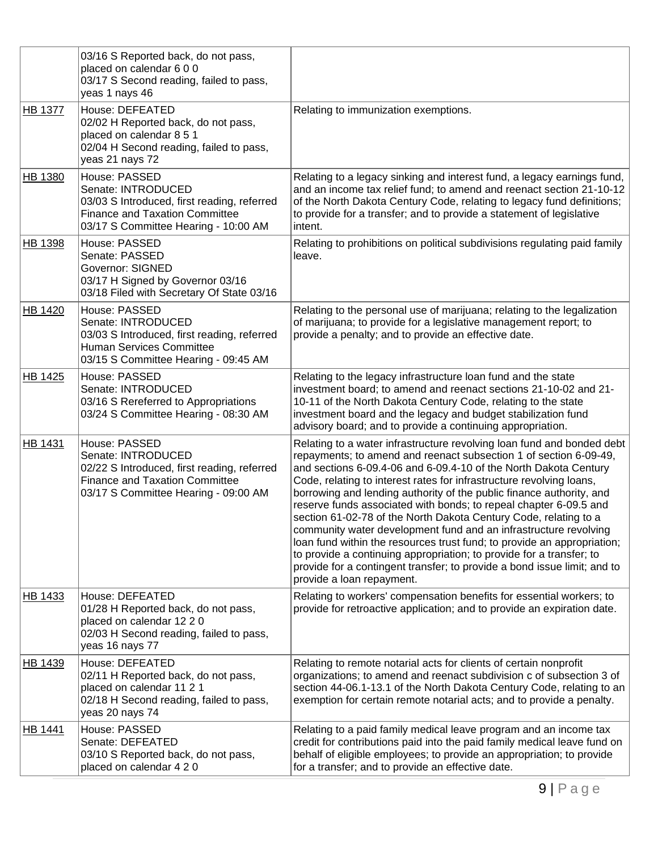|                | 03/16 S Reported back, do not pass,<br>placed on calendar 6 0 0<br>03/17 S Second reading, failed to pass,<br>yeas 1 nays 46                                        |                                                                                                                                                                                                                                                                                                                                                                                                                                                                                                                                                                                                                                                                                                                                                                                                                                          |
|----------------|---------------------------------------------------------------------------------------------------------------------------------------------------------------------|------------------------------------------------------------------------------------------------------------------------------------------------------------------------------------------------------------------------------------------------------------------------------------------------------------------------------------------------------------------------------------------------------------------------------------------------------------------------------------------------------------------------------------------------------------------------------------------------------------------------------------------------------------------------------------------------------------------------------------------------------------------------------------------------------------------------------------------|
| <b>HB 1377</b> | House: DEFEATED<br>02/02 H Reported back, do not pass,<br>placed on calendar 8 5 1<br>02/04 H Second reading, failed to pass,<br>yeas 21 nays 72                    | Relating to immunization exemptions.                                                                                                                                                                                                                                                                                                                                                                                                                                                                                                                                                                                                                                                                                                                                                                                                     |
| HB 1380        | House: PASSED<br>Senate: INTRODUCED<br>03/03 S Introduced, first reading, referred<br><b>Finance and Taxation Committee</b><br>03/17 S Committee Hearing - 10:00 AM | Relating to a legacy sinking and interest fund, a legacy earnings fund,<br>and an income tax relief fund; to amend and reenact section 21-10-12<br>of the North Dakota Century Code, relating to legacy fund definitions;<br>to provide for a transfer; and to provide a statement of legislative<br>intent.                                                                                                                                                                                                                                                                                                                                                                                                                                                                                                                             |
| <b>HB 1398</b> | House: PASSED<br>Senate: PASSED<br><b>Governor: SIGNED</b><br>03/17 H Signed by Governor 03/16<br>03/18 Filed with Secretary Of State 03/16                         | Relating to prohibitions on political subdivisions regulating paid family<br>leave.                                                                                                                                                                                                                                                                                                                                                                                                                                                                                                                                                                                                                                                                                                                                                      |
| <b>HB 1420</b> | House: PASSED<br>Senate: INTRODUCED<br>03/03 S Introduced, first reading, referred<br><b>Human Services Committee</b><br>03/15 S Committee Hearing - 09:45 AM       | Relating to the personal use of marijuana; relating to the legalization<br>of marijuana; to provide for a legislative management report; to<br>provide a penalty; and to provide an effective date.                                                                                                                                                                                                                                                                                                                                                                                                                                                                                                                                                                                                                                      |
| HB 1425        | House: PASSED<br>Senate: INTRODUCED<br>03/16 S Rereferred to Appropriations<br>03/24 S Committee Hearing - 08:30 AM                                                 | Relating to the legacy infrastructure loan fund and the state<br>investment board; to amend and reenact sections 21-10-02 and 21-<br>10-11 of the North Dakota Century Code, relating to the state<br>investment board and the legacy and budget stabilization fund<br>advisory board; and to provide a continuing appropriation.                                                                                                                                                                                                                                                                                                                                                                                                                                                                                                        |
| <b>HB 1431</b> | House: PASSED<br>Senate: INTRODUCED<br>02/22 S Introduced, first reading, referred<br><b>Finance and Taxation Committee</b><br>03/17 S Committee Hearing - 09:00 AM | Relating to a water infrastructure revolving loan fund and bonded debt<br>repayments; to amend and reenact subsection 1 of section 6-09-49,<br>and sections 6-09.4-06 and 6-09.4-10 of the North Dakota Century<br>Code, relating to interest rates for infrastructure revolving loans,<br>borrowing and lending authority of the public finance authority, and<br>reserve funds associated with bonds; to repeal chapter 6-09.5 and<br>section 61-02-78 of the North Dakota Century Code, relating to a<br>community water development fund and an infrastructure revolving<br>loan fund within the resources trust fund; to provide an appropriation;<br>to provide a continuing appropriation; to provide for a transfer; to<br>provide for a contingent transfer; to provide a bond issue limit; and to<br>provide a loan repayment. |
| HB 1433        | House: DEFEATED<br>01/28 H Reported back, do not pass,<br>placed on calendar 12 2 0<br>02/03 H Second reading, failed to pass,<br>yeas 16 nays 77                   | Relating to workers' compensation benefits for essential workers; to<br>provide for retroactive application; and to provide an expiration date.                                                                                                                                                                                                                                                                                                                                                                                                                                                                                                                                                                                                                                                                                          |
| HB 1439        | House: DEFEATED<br>02/11 H Reported back, do not pass,<br>placed on calendar 11 2 1<br>02/18 H Second reading, failed to pass,<br>yeas 20 nays 74                   | Relating to remote notarial acts for clients of certain nonprofit<br>organizations; to amend and reenact subdivision c of subsection 3 of<br>section 44-06.1-13.1 of the North Dakota Century Code, relating to an<br>exemption for certain remote notarial acts; and to provide a penalty.                                                                                                                                                                                                                                                                                                                                                                                                                                                                                                                                              |
| <b>HB 1441</b> | House: PASSED<br>Senate: DEFEATED<br>03/10 S Reported back, do not pass,<br>placed on calendar 4 2 0                                                                | Relating to a paid family medical leave program and an income tax<br>credit for contributions paid into the paid family medical leave fund on<br>behalf of eligible employees; to provide an appropriation; to provide<br>for a transfer; and to provide an effective date.                                                                                                                                                                                                                                                                                                                                                                                                                                                                                                                                                              |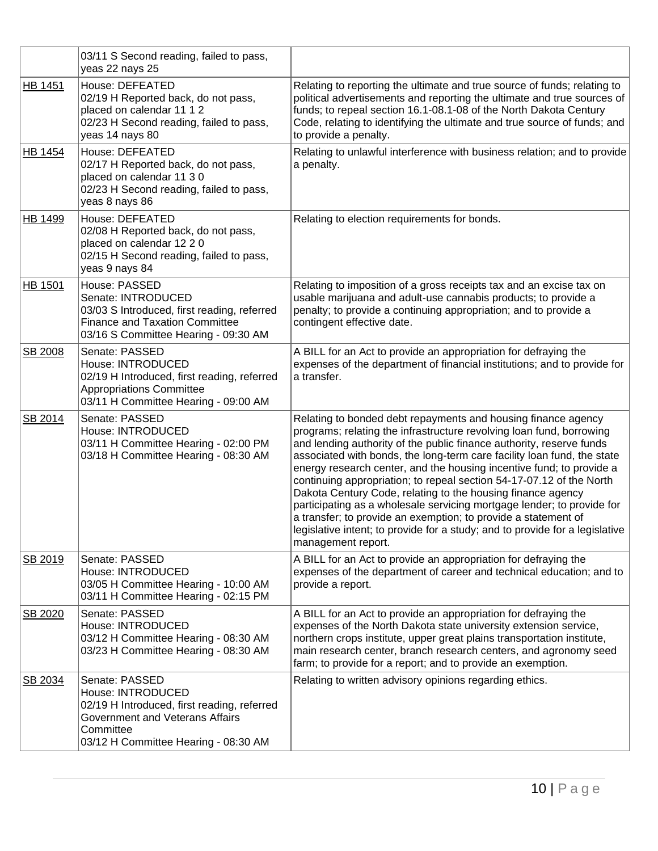|                | 03/11 S Second reading, failed to pass,<br>yeas 22 nays 25                                                                                                                 |                                                                                                                                                                                                                                                                                                                                                                                                                                                                                                                                                                                                                                                                                                                                                           |
|----------------|----------------------------------------------------------------------------------------------------------------------------------------------------------------------------|-----------------------------------------------------------------------------------------------------------------------------------------------------------------------------------------------------------------------------------------------------------------------------------------------------------------------------------------------------------------------------------------------------------------------------------------------------------------------------------------------------------------------------------------------------------------------------------------------------------------------------------------------------------------------------------------------------------------------------------------------------------|
| <b>HB 1451</b> | House: DEFEATED<br>02/19 H Reported back, do not pass,<br>placed on calendar 11 1 2<br>02/23 H Second reading, failed to pass,<br>yeas 14 nays 80                          | Relating to reporting the ultimate and true source of funds; relating to<br>political advertisements and reporting the ultimate and true sources of<br>funds; to repeal section 16.1-08.1-08 of the North Dakota Century<br>Code, relating to identifying the ultimate and true source of funds; and<br>to provide a penalty.                                                                                                                                                                                                                                                                                                                                                                                                                             |
| HB 1454        | House: DEFEATED<br>02/17 H Reported back, do not pass,<br>placed on calendar 11 3 0<br>02/23 H Second reading, failed to pass,<br>yeas 8 nays 86                           | Relating to unlawful interference with business relation; and to provide<br>a penalty.                                                                                                                                                                                                                                                                                                                                                                                                                                                                                                                                                                                                                                                                    |
| HB 1499        | House: DEFEATED<br>02/08 H Reported back, do not pass,<br>placed on calendar 12 2 0<br>02/15 H Second reading, failed to pass,<br>yeas 9 nays 84                           | Relating to election requirements for bonds.                                                                                                                                                                                                                                                                                                                                                                                                                                                                                                                                                                                                                                                                                                              |
| <b>HB 1501</b> | House: PASSED<br>Senate: INTRODUCED<br>03/03 S Introduced, first reading, referred<br><b>Finance and Taxation Committee</b><br>03/16 S Committee Hearing - 09:30 AM        | Relating to imposition of a gross receipts tax and an excise tax on<br>usable marijuana and adult-use cannabis products; to provide a<br>penalty; to provide a continuing appropriation; and to provide a<br>contingent effective date.                                                                                                                                                                                                                                                                                                                                                                                                                                                                                                                   |
| SB 2008        | Senate: PASSED<br>House: INTRODUCED<br>02/19 H Introduced, first reading, referred<br><b>Appropriations Committee</b><br>03/11 H Committee Hearing - 09:00 AM              | A BILL for an Act to provide an appropriation for defraying the<br>expenses of the department of financial institutions; and to provide for<br>a transfer.                                                                                                                                                                                                                                                                                                                                                                                                                                                                                                                                                                                                |
| SB 2014        | Senate: PASSED<br>House: INTRODUCED<br>03/11 H Committee Hearing - 02:00 PM<br>03/18 H Committee Hearing - 08:30 AM                                                        | Relating to bonded debt repayments and housing finance agency<br>programs; relating the infrastructure revolving loan fund, borrowing<br>and lending authority of the public finance authority, reserve funds<br>associated with bonds, the long-term care facility loan fund, the state<br>energy research center, and the housing incentive fund; to provide a<br>continuing appropriation; to repeal section 54-17-07.12 of the North<br>Dakota Century Code, relating to the housing finance agency<br>participating as a wholesale servicing mortgage lender; to provide for<br>a transfer; to provide an exemption; to provide a statement of<br>legislative intent; to provide for a study; and to provide for a legislative<br>management report. |
| SB 2019        | Senate: PASSED<br>House: INTRODUCED<br>03/05 H Committee Hearing - 10:00 AM<br>03/11 H Committee Hearing - 02:15 PM                                                        | A BILL for an Act to provide an appropriation for defraying the<br>expenses of the department of career and technical education; and to<br>provide a report.                                                                                                                                                                                                                                                                                                                                                                                                                                                                                                                                                                                              |
| SB 2020        | Senate: PASSED<br>House: INTRODUCED<br>03/12 H Committee Hearing - 08:30 AM<br>03/23 H Committee Hearing - 08:30 AM                                                        | A BILL for an Act to provide an appropriation for defraying the<br>expenses of the North Dakota state university extension service,<br>northern crops institute, upper great plains transportation institute,<br>main research center, branch research centers, and agronomy seed<br>farm; to provide for a report; and to provide an exemption.                                                                                                                                                                                                                                                                                                                                                                                                          |
| SB 2034        | Senate: PASSED<br>House: INTRODUCED<br>02/19 H Introduced, first reading, referred<br>Government and Veterans Affairs<br>Committee<br>03/12 H Committee Hearing - 08:30 AM | Relating to written advisory opinions regarding ethics.                                                                                                                                                                                                                                                                                                                                                                                                                                                                                                                                                                                                                                                                                                   |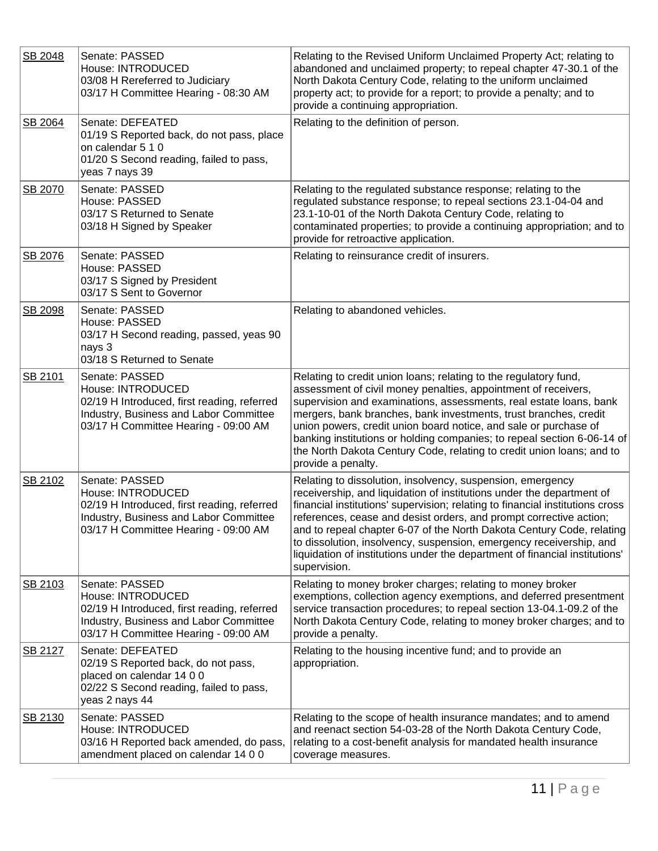| SB 2048        | Senate: PASSED<br>House: INTRODUCED<br>03/08 H Rereferred to Judiciary<br>03/17 H Committee Hearing - 08:30 AM                                                       | Relating to the Revised Uniform Unclaimed Property Act; relating to<br>abandoned and unclaimed property; to repeal chapter 47-30.1 of the<br>North Dakota Century Code, relating to the uniform unclaimed<br>property act; to provide for a report; to provide a penalty; and to<br>provide a continuing appropriation.                                                                                                                                                                                                                   |
|----------------|----------------------------------------------------------------------------------------------------------------------------------------------------------------------|-------------------------------------------------------------------------------------------------------------------------------------------------------------------------------------------------------------------------------------------------------------------------------------------------------------------------------------------------------------------------------------------------------------------------------------------------------------------------------------------------------------------------------------------|
| <b>SB 2064</b> | Senate: DEFEATED<br>01/19 S Reported back, do not pass, place<br>on calendar 5 1 0<br>01/20 S Second reading, failed to pass,<br>yeas 7 nays 39                      | Relating to the definition of person.                                                                                                                                                                                                                                                                                                                                                                                                                                                                                                     |
| SB 2070        | Senate: PASSED<br>House: PASSED<br>03/17 S Returned to Senate<br>03/18 H Signed by Speaker                                                                           | Relating to the regulated substance response; relating to the<br>regulated substance response; to repeal sections 23.1-04-04 and<br>23.1-10-01 of the North Dakota Century Code, relating to<br>contaminated properties; to provide a continuing appropriation; and to<br>provide for retroactive application.                                                                                                                                                                                                                            |
| SB 2076        | Senate: PASSED<br>House: PASSED<br>03/17 S Signed by President<br>03/17 S Sent to Governor                                                                           | Relating to reinsurance credit of insurers.                                                                                                                                                                                                                                                                                                                                                                                                                                                                                               |
| SB 2098        | Senate: PASSED<br>House: PASSED<br>03/17 H Second reading, passed, yeas 90<br>nays 3<br>03/18 S Returned to Senate                                                   | Relating to abandoned vehicles.                                                                                                                                                                                                                                                                                                                                                                                                                                                                                                           |
| SB 2101        | Senate: PASSED<br>House: INTRODUCED<br>02/19 H Introduced, first reading, referred<br>Industry, Business and Labor Committee<br>03/17 H Committee Hearing - 09:00 AM | Relating to credit union loans; relating to the regulatory fund,<br>assessment of civil money penalties, appointment of receivers,<br>supervision and examinations, assessments, real estate loans, bank<br>mergers, bank branches, bank investments, trust branches, credit<br>union powers, credit union board notice, and sale or purchase of<br>banking institutions or holding companies; to repeal section 6-06-14 of<br>the North Dakota Century Code, relating to credit union loans; and to<br>provide a penalty.                |
| SB 2102        | Senate: PASSED<br>House: INTRODUCED<br>02/19 H Introduced, first reading, referred<br>Industry, Business and Labor Committee<br>03/17 H Committee Hearing - 09:00 AM | Relating to dissolution, insolvency, suspension, emergency<br>receivership, and liquidation of institutions under the department of<br>financial institutions' supervision; relating to financial institutions cross<br>references, cease and desist orders, and prompt corrective action;<br>and to repeal chapter 6-07 of the North Dakota Century Code, relating<br>to dissolution, insolvency, suspension, emergency receivership, and<br>liquidation of institutions under the department of financial institutions'<br>supervision. |
| SB 2103        | Senate: PASSED<br>House: INTRODUCED<br>02/19 H Introduced, first reading, referred<br>Industry, Business and Labor Committee<br>03/17 H Committee Hearing - 09:00 AM | Relating to money broker charges; relating to money broker<br>exemptions, collection agency exemptions, and deferred presentment<br>service transaction procedures; to repeal section 13-04.1-09.2 of the<br>North Dakota Century Code, relating to money broker charges; and to<br>provide a penalty.                                                                                                                                                                                                                                    |
| SB 2127        | Senate: DEFEATED<br>02/19 S Reported back, do not pass,<br>placed on calendar 14 0 0<br>02/22 S Second reading, failed to pass,<br>yeas 2 nays 44                    | Relating to the housing incentive fund; and to provide an<br>appropriation.                                                                                                                                                                                                                                                                                                                                                                                                                                                               |
| SB 2130        | Senate: PASSED<br>House: INTRODUCED<br>03/16 H Reported back amended, do pass,<br>amendment placed on calendar 14 0 0                                                | Relating to the scope of health insurance mandates; and to amend<br>and reenact section 54-03-28 of the North Dakota Century Code,<br>relating to a cost-benefit analysis for mandated health insurance<br>coverage measures.                                                                                                                                                                                                                                                                                                             |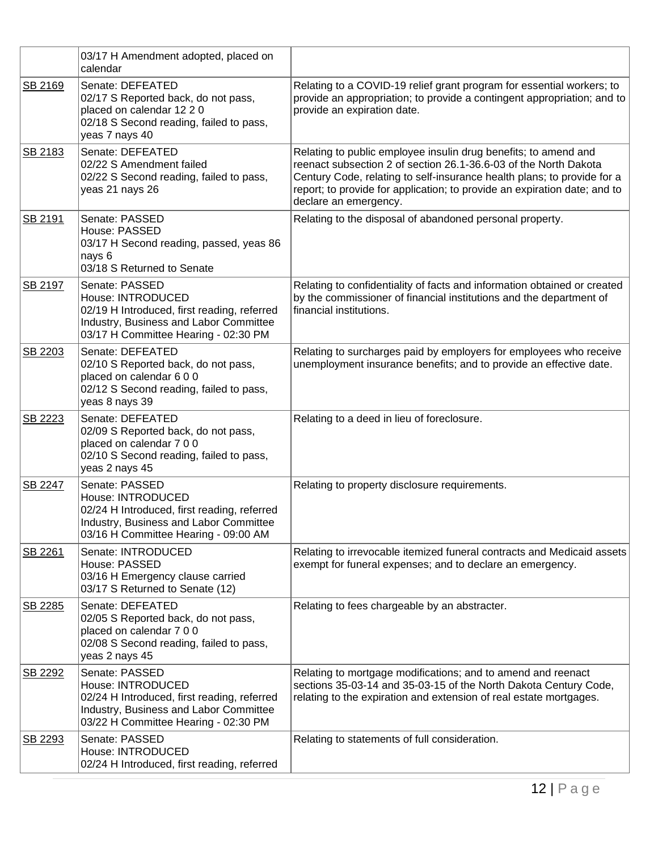|         | 03/17 H Amendment adopted, placed on<br>calendar                                                                                                                     |                                                                                                                                                                                                                                                                                                                      |
|---------|----------------------------------------------------------------------------------------------------------------------------------------------------------------------|----------------------------------------------------------------------------------------------------------------------------------------------------------------------------------------------------------------------------------------------------------------------------------------------------------------------|
| SB 2169 | Senate: DEFEATED<br>02/17 S Reported back, do not pass,<br>placed on calendar 12 2 0<br>02/18 S Second reading, failed to pass,<br>yeas 7 nays 40                    | Relating to a COVID-19 relief grant program for essential workers; to<br>provide an appropriation; to provide a contingent appropriation; and to<br>provide an expiration date.                                                                                                                                      |
| SB 2183 | Senate: DEFEATED<br>02/22 S Amendment failed<br>02/22 S Second reading, failed to pass,<br>yeas 21 nays 26                                                           | Relating to public employee insulin drug benefits; to amend and<br>reenact subsection 2 of section 26.1-36.6-03 of the North Dakota<br>Century Code, relating to self-insurance health plans; to provide for a<br>report; to provide for application; to provide an expiration date; and to<br>declare an emergency. |
| SB 2191 | Senate: PASSED<br>House: PASSED<br>03/17 H Second reading, passed, yeas 86<br>nays 6<br>03/18 S Returned to Senate                                                   | Relating to the disposal of abandoned personal property.                                                                                                                                                                                                                                                             |
| SB 2197 | Senate: PASSED<br>House: INTRODUCED<br>02/19 H Introduced, first reading, referred<br>Industry, Business and Labor Committee<br>03/17 H Committee Hearing - 02:30 PM | Relating to confidentiality of facts and information obtained or created<br>by the commissioner of financial institutions and the department of<br>financial institutions.                                                                                                                                           |
| SB 2203 | Senate: DEFEATED<br>02/10 S Reported back, do not pass,<br>placed on calendar 600<br>02/12 S Second reading, failed to pass,<br>yeas 8 nays 39                       | Relating to surcharges paid by employers for employees who receive<br>unemployment insurance benefits; and to provide an effective date.                                                                                                                                                                             |
| SB 2223 | Senate: DEFEATED<br>02/09 S Reported back, do not pass,<br>placed on calendar 7 0 0<br>02/10 S Second reading, failed to pass,<br>yeas 2 nays 45                     | Relating to a deed in lieu of foreclosure.                                                                                                                                                                                                                                                                           |
| SB 2247 | Senate: PASSED<br>House: INTRODUCED<br>02/24 H Introduced, first reading, referred<br>Industry, Business and Labor Committee<br>03/16 H Committee Hearing - 09:00 AM | Relating to property disclosure requirements.                                                                                                                                                                                                                                                                        |
| SB 2261 | Senate: INTRODUCED<br>House: PASSED<br>03/16 H Emergency clause carried<br>03/17 S Returned to Senate (12)                                                           | Relating to irrevocable itemized funeral contracts and Medicaid assets<br>exempt for funeral expenses; and to declare an emergency.                                                                                                                                                                                  |
| SB 2285 | Senate: DEFEATED<br>02/05 S Reported back, do not pass,<br>placed on calendar 7 0 0<br>02/08 S Second reading, failed to pass,<br>yeas 2 nays 45                     | Relating to fees chargeable by an abstracter.                                                                                                                                                                                                                                                                        |
| SB 2292 | Senate: PASSED<br>House: INTRODUCED<br>02/24 H Introduced, first reading, referred<br>Industry, Business and Labor Committee<br>03/22 H Committee Hearing - 02:30 PM | Relating to mortgage modifications; and to amend and reenact<br>sections 35-03-14 and 35-03-15 of the North Dakota Century Code,<br>relating to the expiration and extension of real estate mortgages.                                                                                                               |
| SB 2293 | Senate: PASSED<br>House: INTRODUCED<br>02/24 H Introduced, first reading, referred                                                                                   | Relating to statements of full consideration.                                                                                                                                                                                                                                                                        |